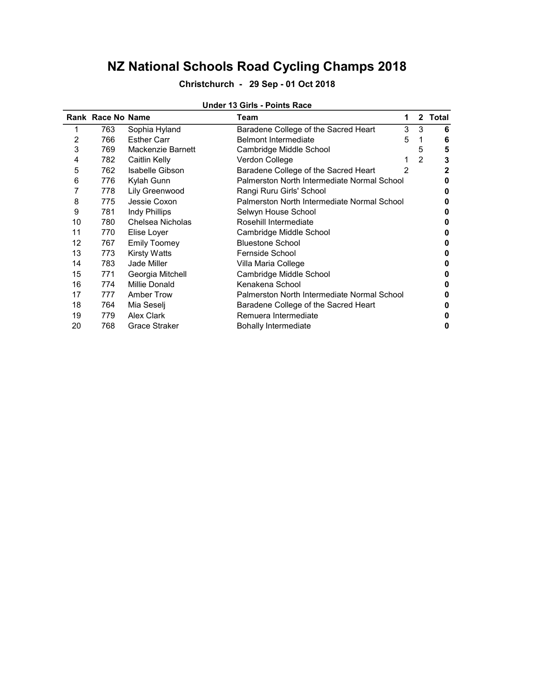### Christchurch - 29 Sep - 01 Oct 2018

|    | Rank Race No Name |                      | 1<br>Team                                   |               | 2 Total |  |
|----|-------------------|----------------------|---------------------------------------------|---------------|---------|--|
|    | 763               | Sophia Hyland        | 3<br>Baradene College of the Sacred Heart   | 3             | 6       |  |
| 2  | 766               | <b>Esther Carr</b>   | <b>Belmont Intermediate</b><br>5            |               | 6       |  |
| 3  | 769               | Mackenzie Barnett    | Cambridge Middle School                     | 5             | 5       |  |
| 4  | 782               | Caitlin Kelly        | Verdon College                              | $\mathcal{P}$ | 3       |  |
| 5  | 762               | Isabelle Gibson      | Baradene College of the Sacred Heart<br>2   |               | 2       |  |
| 6  | 776               | Kylah Gunn           | Palmerston North Intermediate Normal School |               |         |  |
|    | 778               | Lily Greenwood       | Rangi Ruru Girls' School                    |               |         |  |
| 8  | 775               | Jessie Coxon         | Palmerston North Intermediate Normal School |               |         |  |
| 9  | 781               | Indy Phillips        | Selwyn House School                         |               |         |  |
| 10 | 780               | Chelsea Nicholas     | Rosehill Intermediate                       |               |         |  |
| 11 | 770               | Elise Loyer          | Cambridge Middle School                     |               |         |  |
| 12 | 767               | <b>Emily Toomey</b>  | <b>Bluestone School</b>                     |               |         |  |
| 13 | 773               | <b>Kirsty Watts</b>  | Fernside School                             |               | o       |  |
| 14 | 783               | Jade Miller          | Villa Maria College                         |               | o       |  |
| 15 | 771               | Georgia Mitchell     | Cambridge Middle School                     |               |         |  |
| 16 | 774               | Millie Donald        | Kenakena School                             |               |         |  |
| 17 | 777               | <b>Amber Trow</b>    | Palmerston North Intermediate Normal School |               |         |  |
| 18 | 764               | Mia Seselj           | Baradene College of the Sacred Heart        |               |         |  |
| 19 | 779               | <b>Alex Clark</b>    | Remuera Intermediate                        |               |         |  |
| 20 | 768               | <b>Grace Straker</b> | <b>Bohally Intermediate</b>                 |               | 0       |  |

#### Under 13 Girls - Points Race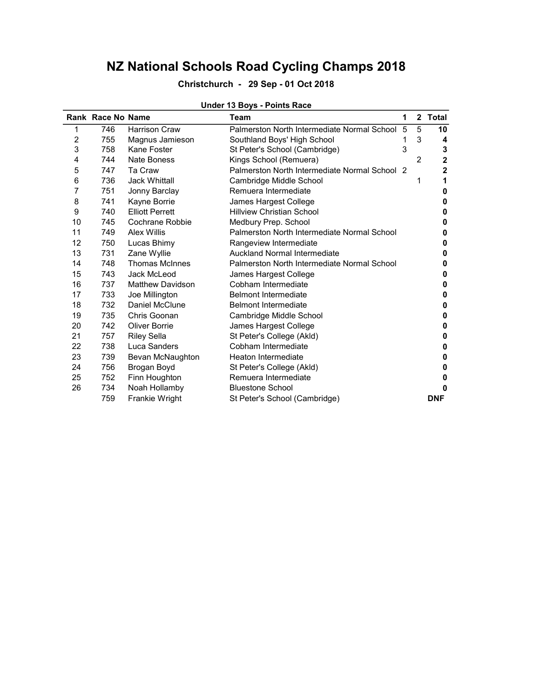### Christchurch - 29 Sep - 01 Oct 2018

|                | Rank Race No Name |                         | Team                                          | 1 |                | 2 Total      |
|----------------|-------------------|-------------------------|-----------------------------------------------|---|----------------|--------------|
| 1              | 746               | <b>Harrison Craw</b>    | Palmerston North Intermediate Normal School   | 5 | 5              | 10           |
| $\overline{c}$ | 755               | Magnus Jamieson         | Southland Boys' High School                   |   | 3              | 4            |
| 3              | 758               | Kane Foster             | St Peter's School (Cambridge)                 | 3 |                | 3            |
| 4              | 744               | Nate Boness             | Kings School (Remuera)                        |   | $\overline{2}$ | $\mathbf{2}$ |
| 5              | 747               | Ta Craw                 | Palmerston North Intermediate Normal School 2 |   |                | $\mathbf{2}$ |
| 6              | 736               | <b>Jack Whittall</b>    | Cambridge Middle School                       |   | 1              | 1            |
| 7              | 751               | Jonny Barclay           | Remuera Intermediate                          |   |                | 0            |
| 8              | 741               | Kayne Borrie            | James Hargest College                         |   |                | 0            |
| 9              | 740               | <b>Elliott Perrett</b>  | <b>Hillview Christian School</b>              |   |                | 0            |
| 10             | 745               | Cochrane Robbie         | Medbury Prep. School                          |   |                | 0            |
| 11             | 749               | <b>Alex Willis</b>      | Palmerston North Intermediate Normal School   |   |                | 0            |
| 12             | 750               | Lucas Bhimy             | Rangeview Intermediate                        |   |                | 0            |
| 13             | 731               | Zane Wyllie             | <b>Auckland Normal Intermediate</b>           |   |                | 0            |
| 14             | 748               | <b>Thomas McInnes</b>   | Palmerston North Intermediate Normal School   |   |                | 0            |
| 15             | 743               | Jack McLeod             | James Hargest College                         |   |                | 0            |
| 16             | 737               | <b>Matthew Davidson</b> | Cobham Intermediate                           |   |                | 0            |
| 17             | 733               | Joe Millington          | <b>Belmont Intermediate</b>                   |   |                | 0            |
| 18             | 732               | Daniel McClune          | <b>Belmont Intermediate</b>                   |   |                | 0            |
| 19             | 735               | Chris Goonan            | Cambridge Middle School                       |   |                | 0            |
| 20             | 742               | Oliver Borrie           | James Hargest College                         |   |                | 0            |
| 21             | 757               | <b>Riley Sella</b>      | St Peter's College (Akld)                     |   |                | 0            |
| 22             | 738               | Luca Sanders            | Cobham Intermediate                           |   |                | 0            |
| 23             | 739               | Bevan McNaughton        | Heaton Intermediate                           |   |                | 0            |
| 24             | 756               | Brogan Boyd             | St Peter's College (Akld)                     |   |                | 0            |
| 25             | 752               | Finn Houghton           | Remuera Intermediate                          |   |                | 0            |
| 26             | 734               | Noah Hollamby           | <b>Bluestone School</b>                       |   |                | 0            |
|                | 759               | Frankie Wright          | St Peter's School (Cambridge)                 |   |                | <b>DNF</b>   |

#### Under 13 Boys - Points Race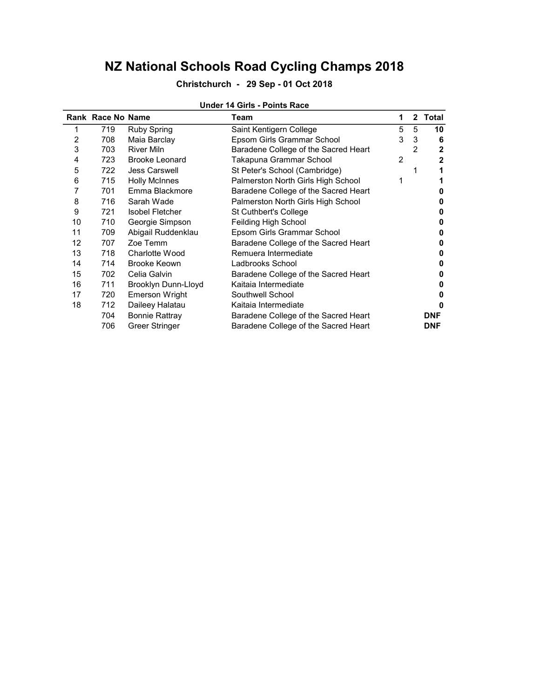### Christchurch - 29 Sep - 01 Oct 2018

|    | Rank Race No Name |                        | Team                                 | 1 |                | 2 Total      |
|----|-------------------|------------------------|--------------------------------------|---|----------------|--------------|
|    | 719               | <b>Ruby Spring</b>     | Saint Kentigern College              | 5 | 5              | 10           |
| 2  | 708               | Maia Barclay           | Epsom Girls Grammar School           | 3 | 3              | 6            |
| 3  | 703               | <b>River Miln</b>      | Baradene College of the Sacred Heart |   | $\overline{2}$ | $\mathbf{2}$ |
| 4  | 723               | <b>Brooke Leonard</b>  | Takapuna Grammar School              | 2 |                | 2            |
| 5  | 722               | <b>Jess Carswell</b>   | St Peter's School (Cambridge)        |   | 1              |              |
| 6  | 715               | <b>Holly McInnes</b>   | Palmerston North Girls High School   | 1 |                |              |
|    | 701               | Emma Blackmore         | Baradene College of the Sacred Heart |   |                | o            |
| 8  | 716               | Sarah Wade             | Palmerston North Girls High School   |   |                | O            |
| 9  | 721               | <b>Isobel Fletcher</b> | St Cuthbert's College                |   |                | n            |
| 10 | 710               | Georgie Simpson        | Feilding High School                 |   |                | o            |
| 11 | 709               | Abigail Ruddenklau     | Epsom Girls Grammar School           |   |                | O            |
| 12 | 707               | Zoe Temm               | Baradene College of the Sacred Heart |   |                |              |
| 13 | 718               | <b>Charlotte Wood</b>  | Remuera Intermediate                 |   |                | O            |
| 14 | 714               | <b>Brooke Keown</b>    | Ladbrooks School                     |   |                | O            |
| 15 | 702               | Celia Galvin           | Baradene College of the Sacred Heart |   |                |              |
| 16 | 711               | Brooklyn Dunn-Lloyd    | Kaitaia Intermediate                 |   |                |              |
| 17 | 720               | Emerson Wright         | Southwell School                     |   |                | n            |
| 18 | 712               | Daileey Halatau        | Kaitaia Intermediate                 |   |                | o            |
|    | 704               | <b>Bonnie Rattray</b>  | Baradene College of the Sacred Heart |   |                | <b>DNF</b>   |
|    | 706               | Greer Stringer         | Baradene College of the Sacred Heart |   |                | <b>DNF</b>   |

#### Under 14 Girls - Points Race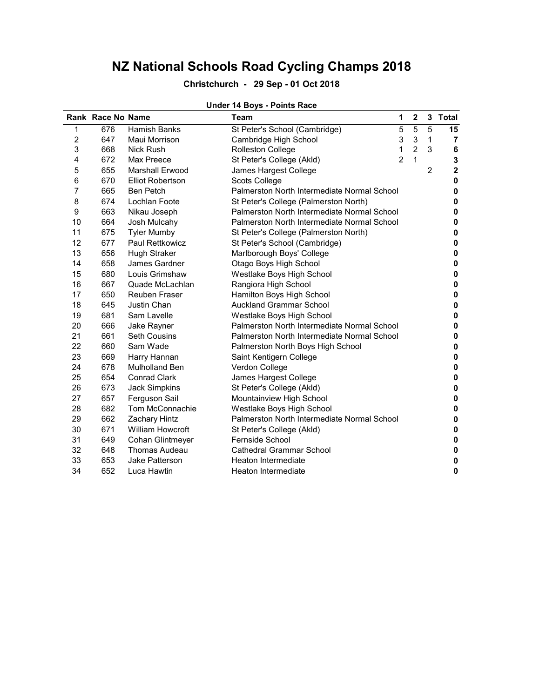## Christchurch - 29 Sep - 01 Oct 2018

### Under 14 Boys - Points Race

|    | Rank Race No Name |                         | <b>Team</b>                                 | 1              | $\mathbf 2$    | 3              | <b>Total</b>            |
|----|-------------------|-------------------------|---------------------------------------------|----------------|----------------|----------------|-------------------------|
| 1  | 676               | <b>Hamish Banks</b>     | St Peter's School (Cambridge)               | 5              | 5              | 5              | 15                      |
| 2  | 647               | Maui Morrison           | Cambridge High School                       | 3              | 3              | 1              | 7                       |
| 3  | 668               | <b>Nick Rush</b>        | Rolleston College                           | 1              | $\overline{2}$ | 3              | $\bf 6$                 |
| 4  | 672               | Max Preece              | St Peter's College (Akld)                   | $\overline{2}$ | $\mathbf{1}$   |                | 3                       |
| 5  | 655               | Marshall Erwood         | James Hargest College                       |                |                | $\overline{c}$ | $\overline{\mathbf{2}}$ |
| 6  | 670               | <b>Elliot Robertson</b> | Scots College                               |                |                |                | $\pmb{0}$               |
| 7  | 665               | <b>Ben Petch</b>        | Palmerston North Intermediate Normal School |                |                |                | 0                       |
| 8  | 674               | Lochlan Foote           | St Peter's College (Palmerston North)       |                |                |                | 0                       |
| 9  | 663               | Nikau Joseph            | Palmerston North Intermediate Normal School |                |                |                | 0                       |
| 10 | 664               | Josh Mulcahy            | Palmerston North Intermediate Normal School |                |                |                | 0                       |
| 11 | 675               | <b>Tyler Mumby</b>      | St Peter's College (Palmerston North)       |                |                |                | 0                       |
| 12 | 677               | Paul Rettkowicz         | St Peter's School (Cambridge)               |                |                |                | $\pmb{0}$               |
| 13 | 656               | <b>Hugh Straker</b>     | Marlborough Boys' College                   |                |                |                | 0                       |
| 14 | 658               | James Gardner           | Otago Boys High School                      |                |                |                | 0                       |
| 15 | 680               | Louis Grimshaw          | Westlake Boys High School                   |                |                |                | 0                       |
| 16 | 667               | Quade McLachlan         | Rangiora High School                        |                |                |                | $\mathbf 0$             |
| 17 | 650               | <b>Reuben Fraser</b>    | Hamilton Boys High School                   |                |                |                | 0                       |
| 18 | 645               | Justin Chan             | <b>Auckland Grammar School</b>              |                |                |                | 0                       |
| 19 | 681               | Sam Lavelle             | Westlake Boys High School                   |                |                |                | 0                       |
| 20 | 666               | Jake Rayner             | Palmerston North Intermediate Normal School |                |                |                | $\pmb{0}$               |
| 21 | 661               | <b>Seth Cousins</b>     | Palmerston North Intermediate Normal School |                |                |                | 0                       |
| 22 | 660               | Sam Wade                | Palmerston North Boys High School           |                |                |                | 0                       |
| 23 | 669               | Harry Hannan            | Saint Kentigern College                     |                |                |                | 0                       |
| 24 | 678               | Mulholland Ben          | Verdon College                              |                |                |                | $\pmb{0}$               |
| 25 | 654               | <b>Conrad Clark</b>     | James Hargest College                       |                |                |                | 0                       |
| 26 | 673               | <b>Jack Simpkins</b>    | St Peter's College (Akld)                   |                |                |                | 0                       |
| 27 | 657               | Ferguson Sail           | Mountainview High School                    |                |                |                | 0                       |
| 28 | 682               | Tom McConnachie         | Westlake Boys High School                   |                |                |                | $\pmb{0}$               |
| 29 | 662               | Zachary Hintz           | Palmerston North Intermediate Normal School |                |                |                | 0                       |
| 30 | 671               | <b>William Howcroft</b> | St Peter's College (Akld)                   |                |                |                | $\pmb{0}$               |
| 31 | 649               | Cohan Glintmeyer        | Fernside School                             |                |                |                | 0                       |
| 32 | 648               | <b>Thomas Audeau</b>    | <b>Cathedral Grammar School</b>             |                |                |                | 0                       |
| 33 | 653               | Jake Patterson          | Heaton Intermediate                         |                |                |                | 0                       |
| 34 | 652               | Luca Hawtin             | Heaton Intermediate                         |                |                |                | 0                       |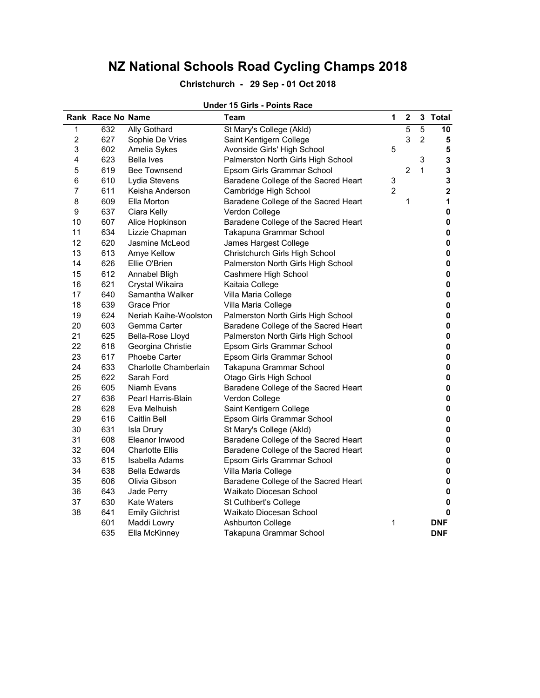## Christchurch - 29 Sep - 01 Oct 2018

### Under 15 Girls - Points Race

|                | Rank Race No Name |                        | <b>Team</b>                          | 1              | $\mathbf 2$    |                | 3 Total      |
|----------------|-------------------|------------------------|--------------------------------------|----------------|----------------|----------------|--------------|
| 1              | 632               | Ally Gothard           | St Mary's College (Akld)             |                | 5              | 5              | 10           |
| $\overline{c}$ | 627               | Sophie De Vries        | Saint Kentigern College              |                | 3              | $\overline{2}$ | 5            |
| 3              | 602               | Amelia Sykes           | Avonside Girls' High School          | $\mathbf 5$    |                |                | 5            |
| 4              | 623               | Bella Ives             | Palmerston North Girls High School   |                |                | 3              | 3            |
| 5              | 619               | <b>Bee Townsend</b>    | Epsom Girls Grammar School           |                | $\overline{c}$ | 1              | 3            |
| 6              | 610               | Lydia Stevens          | Baradene College of the Sacred Heart | 3              |                |                | $\mathbf{3}$ |
| $\overline{7}$ | 611               | Keisha Anderson        | Cambridge High School                | $\overline{2}$ |                |                | $\mathbf 2$  |
| 8              | 609               | Ella Morton            | Baradene College of the Sacred Heart |                | 1              |                | $\mathbf 1$  |
| 9              | 637               | Ciara Kelly            | Verdon College                       |                |                |                | $\pmb{0}$    |
| 10             | 607               | Alice Hopkinson        | Baradene College of the Sacred Heart |                |                |                | $\pmb{0}$    |
| 11             | 634               | Lizzie Chapman         | Takapuna Grammar School              |                |                |                | $\pmb{0}$    |
| 12             | 620               | Jasmine McLeod         | James Hargest College                |                |                |                | $\pmb{0}$    |
| 13             | 613               | Amye Kellow            | Christchurch Girls High School       |                |                |                | $\pmb{0}$    |
| 14             | 626               | Ellie O'Brien          | Palmerston North Girls High School   |                |                |                | $\pmb{0}$    |
| 15             | 612               | Annabel Bligh          | Cashmere High School                 |                |                |                | $\pmb{0}$    |
| 16             | 621               | Crystal Wikaira        | Kaitaia College                      |                |                |                | $\pmb{0}$    |
| 17             | 640               | Samantha Walker        | Villa Maria College                  |                |                |                | $\pmb{0}$    |
| 18             | 639               | <b>Grace Prior</b>     | Villa Maria College                  |                |                |                | $\pmb{0}$    |
| 19             | 624               | Neriah Kaihe-Woolston  | Palmerston North Girls High School   |                |                |                | $\pmb{0}$    |
| 20             | 603               | Gemma Carter           | Baradene College of the Sacred Heart |                |                |                | $\pmb{0}$    |
| 21             | 625               | Bella-Rose Lloyd       | Palmerston North Girls High School   |                |                |                | $\pmb{0}$    |
| 22             | 618               | Georgina Christie      | Epsom Girls Grammar School           |                |                |                | $\pmb{0}$    |
| 23             | 617               | <b>Phoebe Carter</b>   | Epsom Girls Grammar School           |                |                |                | $\pmb{0}$    |
| 24             | 633               | Charlotte Chamberlain  | Takapuna Grammar School              |                |                |                | $\pmb{0}$    |
| 25             | 622               | Sarah Ford             | Otago Girls High School              |                |                |                | $\pmb{0}$    |
| 26             | 605               | Niamh Evans            | Baradene College of the Sacred Heart |                |                |                | $\pmb{0}$    |
| 27             | 636               | Pearl Harris-Blain     | Verdon College                       |                |                |                | $\pmb{0}$    |
| 28             | 628               | Eva Melhuish           | Saint Kentigern College              |                |                |                | $\pmb{0}$    |
| 29             | 616               | <b>Caitlin Bell</b>    | Epsom Girls Grammar School           |                |                |                | $\pmb{0}$    |
| 30             | 631               | <b>Isla Drury</b>      | St Mary's College (Akld)             |                |                |                | $\pmb{0}$    |
| 31             | 608               | Eleanor Inwood         | Baradene College of the Sacred Heart |                |                |                | $\pmb{0}$    |
| 32             | 604               | <b>Charlotte Ellis</b> | Baradene College of the Sacred Heart |                |                |                | $\pmb{0}$    |
| 33             | 615               | Isabella Adams         | Epsom Girls Grammar School           |                |                |                | $\pmb{0}$    |
| 34             | 638               | <b>Bella Edwards</b>   | Villa Maria College                  |                |                |                | $\pmb{0}$    |
| 35             | 606               | Olivia Gibson          | Baradene College of the Sacred Heart |                |                |                | $\pmb{0}$    |
| 36             | 643               | Jade Perry             | Waikato Diocesan School              |                |                |                | $\pmb{0}$    |
| 37             | 630               | <b>Kate Waters</b>     | St Cuthbert's College                |                |                |                | $\pmb{0}$    |
| 38             | 641               | <b>Emily Gilchrist</b> | Waikato Diocesan School              |                |                |                | $\mathbf 0$  |
|                | 601               | Maddi Lowry            | <b>Ashburton College</b>             | 1              |                |                | <b>DNF</b>   |
|                | 635               | Ella McKinney          | Takapuna Grammar School              |                |                |                | <b>DNF</b>   |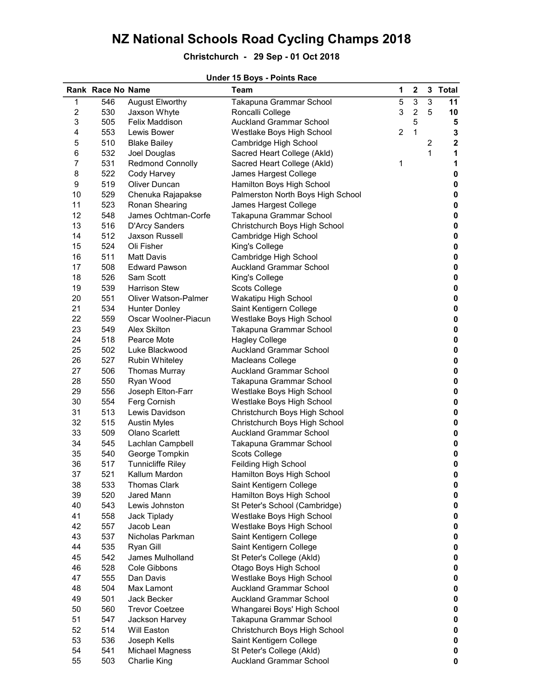## Christchurch - 29 Sep - 01 Oct 2018

|                         |                   |                             | 011061 TV DOYS - FORRIS Race      |                |                |                |                         |
|-------------------------|-------------------|-----------------------------|-----------------------------------|----------------|----------------|----------------|-------------------------|
|                         | Rank Race No Name |                             | Team                              | 1              | $\mathbf 2$    |                | 3 Total                 |
| 1                       | 546               | <b>August Elworthy</b>      | Takapuna Grammar School           | 5              | 3              | $\sqrt{3}$     | 11                      |
| $\overline{\mathbf{c}}$ | 530               | Jaxson Whyte                | Roncalli College                  | 3              | $\overline{c}$ | 5              | 10                      |
| 3                       | 505               | Felix Maddison              | <b>Auckland Grammar School</b>    |                | 5              |                | 5                       |
| 4                       | 553               | Lewis Bower                 | Westlake Boys High School         | $\overline{c}$ | $\mathbf 1$    |                | $\mathbf{3}$            |
| 5                       | 510               | <b>Blake Bailey</b>         | Cambridge High School             |                |                | $\overline{c}$ | $\overline{\mathbf{2}}$ |
| 6                       | 532               | Joel Douglas                | Sacred Heart College (Akld)       |                |                | 1              | 1                       |
| $\overline{7}$          | 531               | <b>Redmond Connolly</b>     | Sacred Heart College (Akld)       | 1              |                |                | 1                       |
| 8                       | 522               | Cody Harvey                 | James Hargest College             |                |                |                | 0                       |
| 9                       | 519               | Oliver Duncan               | Hamilton Boys High School         |                |                |                | $\mathbf 0$             |
| 10                      | 529               | Chenuka Rajapakse           | Palmerston North Boys High School |                |                |                | $\mathbf 0$             |
| 11                      | 523               | Ronan Shearing              | James Hargest College             |                |                |                | $\mathbf 0$             |
| 12                      | 548               | James Ochtman-Corfe         | Takapuna Grammar School           |                |                |                | $\mathbf 0$             |
| 13                      | 516               | D'Arcy Sanders              | Christchurch Boys High School     |                |                |                | $\bf{0}$                |
| 14                      | 512               | <b>Jaxson Russell</b>       |                                   |                |                |                |                         |
|                         |                   |                             | Cambridge High School             |                |                |                | $\pmb{0}$               |
| 15                      | 524               | Oli Fisher                  | King's College                    |                |                |                | $\pmb{0}$               |
| 16                      | 511               | <b>Matt Davis</b>           | Cambridge High School             |                |                |                | $\pmb{0}$               |
| 17                      | 508               | <b>Edward Pawson</b>        | <b>Auckland Grammar School</b>    |                |                |                | $\pmb{0}$               |
| 18                      | 526               | Sam Scott                   | King's College                    |                |                |                | $\pmb{0}$               |
| 19                      | 539               | <b>Harrison Stew</b>        | Scots College                     |                |                |                | $\mathbf 0$             |
| 20                      | 551               | <b>Oliver Watson-Palmer</b> | Wakatipu High School              |                |                |                | $\mathbf 0$             |
| 21                      | 534               | <b>Hunter Donley</b>        | Saint Kentigern College           |                |                |                | $\pmb{0}$               |
| 22                      | 559               | Oscar Woolner-Piacun        | Westlake Boys High School         |                |                |                | $\pmb{0}$               |
| 23                      | 549               | Alex Skilton                | Takapuna Grammar School           |                |                |                | $\pmb{0}$               |
| 24                      | 518               | Pearce Mote                 | <b>Hagley College</b>             |                |                |                | $\pmb{0}$               |
| 25                      | 502               | Luke Blackwood              | <b>Auckland Grammar School</b>    |                |                |                | $\pmb{0}$               |
| 26                      | 527               | <b>Rubin Whiteley</b>       | Macleans College                  |                |                |                | $\pmb{0}$               |
| 27                      | 506               | <b>Thomas Murray</b>        | <b>Auckland Grammar School</b>    |                |                |                | $\pmb{0}$               |
| 28                      | 550               | Ryan Wood                   | Takapuna Grammar School           |                |                |                | $\pmb{0}$               |
| 29                      | 556               | Joseph Elton-Farr           | Westlake Boys High School         |                |                |                | $\pmb{0}$               |
| 30                      | 554               | Ferg Cornish                | Westlake Boys High School         |                |                |                | $\pmb{0}$               |
| 31                      | 513               | Lewis Davidson              | Christchurch Boys High School     |                |                |                | $\pmb{0}$               |
| 32                      | 515               | <b>Austin Myles</b>         | Christchurch Boys High School     |                |                |                | $\pmb{0}$               |
| 33                      | 509               | Olano Scarlett              | <b>Auckland Grammar School</b>    |                |                |                | $\pmb{0}$               |
| 34                      | 545               | Lachlan Campbell            | Takapuna Grammar School           |                |                |                | $\pmb{0}$               |
| 35                      | 540               | George Tompkin              | Scots College                     |                |                |                | $\pmb{0}$               |
| 36                      | 517               | <b>Tunnicliffe Riley</b>    | Feilding High School              |                |                |                | 0                       |
| 37                      | 521               | Kallum Mardon               | Hamilton Boys High School         |                |                |                | 0                       |
| 38                      | 533               | <b>Thomas Clark</b>         | Saint Kentigern College           |                |                |                | 0                       |
| 39                      | 520               | Jared Mann                  | Hamilton Boys High School         |                |                |                | 0                       |
| 40                      | 543               | Lewis Johnston              | St Peter's School (Cambridge)     |                |                |                | $\pmb{0}$               |
|                         |                   |                             |                                   |                |                |                |                         |
| 41                      | 558               | Jack Tiplady                | Westlake Boys High School         |                |                |                | 0                       |
| 42                      | 557               | Jacob Lean                  | Westlake Boys High School         |                |                |                | 0                       |
| 43                      | 537               | Nicholas Parkman            | Saint Kentigern College           |                |                |                | 0                       |
| 44                      | 535               | Ryan Gill                   | Saint Kentigern College           |                |                |                | 0                       |
| 45                      | 542               | James Mulholland            | St Peter's College (Akld)         |                |                |                | 0                       |
| 46                      | 528               | Cole Gibbons                | Otago Boys High School            |                |                |                | 0                       |
| 47                      | 555               | Dan Davis                   | Westlake Boys High School         |                |                |                | 0                       |
| 48                      | 504               | Max Lamont                  | <b>Auckland Grammar School</b>    |                |                |                | 0                       |
| 49                      | 501               | Jack Becker                 | <b>Auckland Grammar School</b>    |                |                |                | 0                       |
| 50                      | 560               | <b>Trevor Coetzee</b>       | Whangarei Boys' High School       |                |                |                | 0                       |
| 51                      | 547               | Jackson Harvey              | Takapuna Grammar School           |                |                |                | 0                       |
| 52                      | 514               | Will Easton                 | Christchurch Boys High School     |                |                |                | 0                       |
| 53                      | 536               | Joseph Kells                | Saint Kentigern College           |                |                |                | 0                       |
| 54                      | 541               | Michael Magness             | St Peter's College (Akld)         |                |                |                | 0                       |
| 55                      | 503               | <b>Charlie King</b>         | <b>Auckland Grammar School</b>    |                |                |                | 0                       |

#### Under 15 Boys - Points Race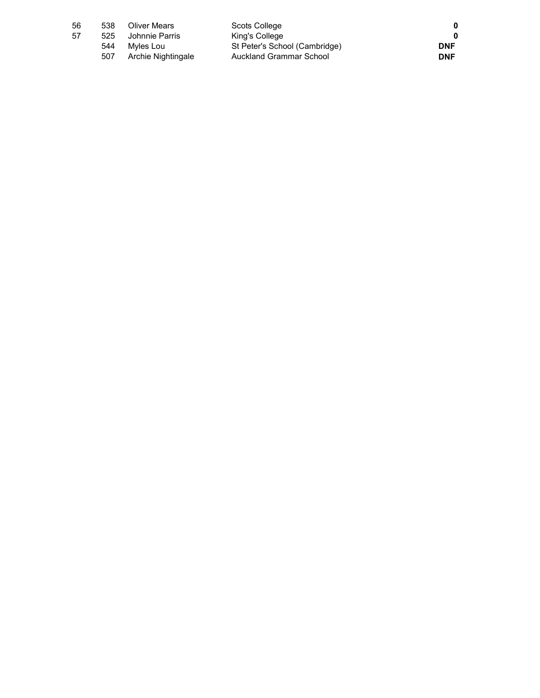| 56 | 538 | <b>Oliver Mears</b> | Scots College                 |            |
|----|-----|---------------------|-------------------------------|------------|
| 57 | 525 | Johnnie Parris      | King's College                |            |
|    | 544 | Mvles Lou           | St Peter's School (Cambridge) | <b>DNF</b> |
|    | 507 | Archie Nightingale  | Auckland Grammar School       | <b>DNF</b> |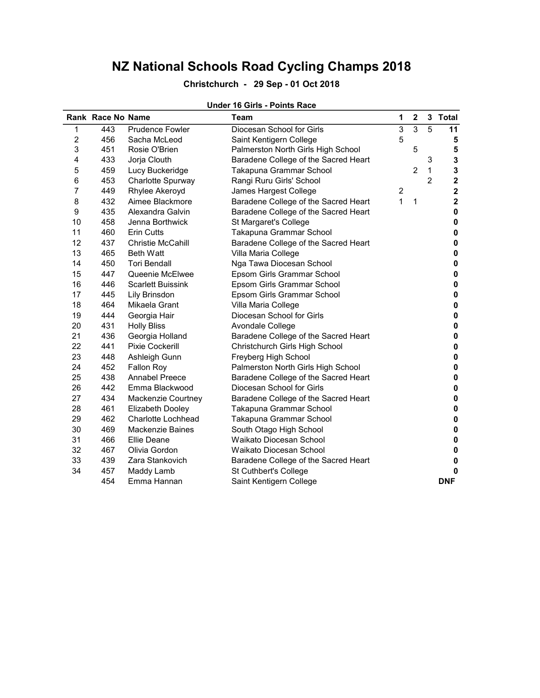## Christchurch - 29 Sep - 01 Oct 2018

### Under 16 Girls - Points Race

|                | <b>Rank Race No Name</b> |                           | <b>Team</b>                          | 1                       | $\mathbf 2$    | 3              | <b>Total</b>            |
|----------------|--------------------------|---------------------------|--------------------------------------|-------------------------|----------------|----------------|-------------------------|
| 1              | 443                      | <b>Prudence Fowler</b>    | Diocesan School for Girls            | 3                       | $\overline{3}$ | 5              | 11                      |
| $\overline{c}$ | 456                      | Sacha McLeod              | Saint Kentigern College              | 5                       |                |                | 5                       |
| 3              | 451                      | Rosie O'Brien             | Palmerston North Girls High School   |                         | 5              |                | 5                       |
| 4              | 433                      | Jorja Clouth              | Baradene College of the Sacred Heart |                         |                | 3              | 3                       |
| 5              | 459                      | Lucy Buckeridge           | Takapuna Grammar School              |                         | $\overline{2}$ | 1              | 3                       |
| 6              | 453                      | Charlotte Spurway         | Rangi Ruru Girls' School             |                         |                | $\overline{2}$ | $\overline{\mathbf{c}}$ |
| 7              | 449                      | Rhylee Akeroyd            | James Hargest College                | $\overline{\mathbf{c}}$ |                |                | $\overline{\mathbf{c}}$ |
| 8              | 432                      | Aimee Blackmore           | Baradene College of the Sacred Heart | $\mathbf{1}$            | $\mathbf{1}$   |                | $\mathbf 2$             |
| 9              | 435                      | Alexandra Galvin          | Baradene College of the Sacred Heart |                         |                |                | $\pmb{0}$               |
| 10             | 458                      | Jenna Borthwick           | St Margaret's College                |                         |                |                | $\pmb{0}$               |
| 11             | 460                      | <b>Erin Cutts</b>         | Takapuna Grammar School              |                         |                |                | 0                       |
| 12             | 437                      | <b>Christie McCahill</b>  | Baradene College of the Sacred Heart |                         |                |                | 0                       |
| 13             | 465                      | <b>Beth Watt</b>          | Villa Maria College                  |                         |                |                | 0                       |
| 14             | 450                      | <b>Tori Bendall</b>       | Nga Tawa Diocesan School             |                         |                |                | 0                       |
| 15             | 447                      | Queenie McElwee           | Epsom Girls Grammar School           |                         |                |                | $\mathbf 0$             |
| 16             | 446                      | <b>Scarlett Buissink</b>  | Epsom Girls Grammar School           |                         |                |                | 0                       |
| 17             | 445                      | Lily Brinsdon             | Epsom Girls Grammar School           |                         |                |                | $\mathbf 0$             |
| 18             | 464                      | Mikaela Grant             | Villa Maria College                  |                         |                |                | 0                       |
| 19             | 444                      | Georgia Hair              | Diocesan School for Girls            |                         |                |                | 0                       |
| 20             | 431                      | <b>Holly Bliss</b>        | Avondale College                     |                         |                |                | 0                       |
| 21             | 436                      | Georgia Holland           | Baradene College of the Sacred Heart |                         |                |                | 0                       |
| 22             | 441                      | <b>Pixie Cockerill</b>    | Christchurch Girls High School       |                         |                |                | $\pmb{0}$               |
| 23             | 448                      | Ashleigh Gunn             | Freyberg High School                 |                         |                |                | $\pmb{0}$               |
| 24             | 452                      | Fallon Roy                | Palmerston North Girls High School   |                         |                |                | 0                       |
| 25             | 438                      | <b>Annabel Preece</b>     | Baradene College of the Sacred Heart |                         |                |                | 0                       |
| 26             | 442                      | Emma Blackwood            | Diocesan School for Girls            |                         |                |                | $\pmb{0}$               |
| 27             | 434                      | Mackenzie Courtney        | Baradene College of the Sacred Heart |                         |                |                | $\pmb{0}$               |
| 28             | 461                      | Elizabeth Dooley          | Takapuna Grammar School              |                         |                |                | 0                       |
| 29             | 462                      | <b>Charlotte Lochhead</b> | Takapuna Grammar School              |                         |                |                | 0                       |
| 30             | 469                      | <b>Mackenzie Baines</b>   | South Otago High School              |                         |                |                | 0                       |
| 31             | 466                      | Ellie Deane               | Waikato Diocesan School              |                         |                |                | 0                       |
| 32             | 467                      | Olivia Gordon             | Waikato Diocesan School              |                         |                |                | 0                       |
| 33             | 439                      | Zara Stankovich           | Baradene College of the Sacred Heart |                         |                |                | 0                       |
| 34             | 457                      | Maddy Lamb                | St Cuthbert's College                |                         |                |                | 0                       |
|                | 454                      | Emma Hannan               | Saint Kentigern College              |                         |                |                | <b>DNF</b>              |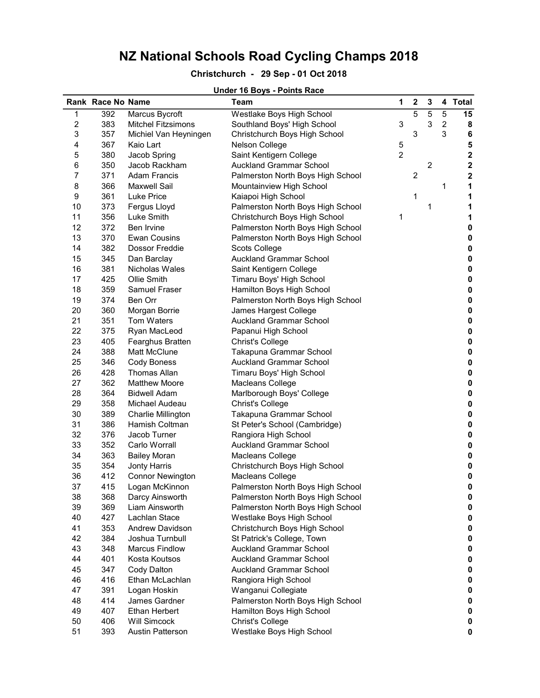### Christchurch - 29 Sep - 01 Oct 2018

### Rank Race No Name **Team** 1 2 3 4 Total 1 392 Marcus Bycroft Westlake Boys High School 5 5 5 15 15 2 383 Mitchel Fitzsimons Southland Boys' High School 3 3 3 2 8 3 357 Michiel Van Heyningen Christchurch Boys High School 3 3 6 4 367 Kaio Lart Nelson College 5 5 380 Jacob Spring Saint Kentigern College 6 350 Jacob Rackham Auckland Grammar School 2 2 7 371 Adam Francis **Palmerston North Boys High School** 2 2 2 8 366 Maxwell Sail Mountainview High School 1 1 1 9 361 Luke Price **Kaiapoi High School** 1 1 1 1 10 373 Fergus Lloyd **Palmerston North Boys High School** 1 1 1 11 356 Luke Smith Christchurch Boys High School 1 1 1 1 12 372 Ben Irvine **Palmerston North Boys High School** 0 13 370 Ewan Cousins **Palmerston North Boys High School** 0 14 382 Dossor Freddie Scots College 0 15 345 Dan Barclay Auckland Grammar School 0 16 381 Nicholas Wales Saint Kentigern College **18 College** 19 Nicholas Wales 17 425 Ollie Smith Timaru Boys' High School 0 18 359 Samuel Fraser Hamilton Boys High School **0 0** 19 374 Ben Orr **Palmerston North Boys High School** 0 20 360 Morgan Borrie James Hargest College 0 21 351 Tom Waters **Auckland Grammar School 0 0** 22 375 Ryan MacLeod Papanui High School 0 23 405 Fearghus Bratten Christ's College 0 24 388 Matt McClune Takapuna Grammar School 0 25 346 Cody Boness **Auckland Grammar School Contact August** 25 and 20 26 428 Thomas Allan Timaru Boys' High School 0 27 362 Matthew Moore Macleans College 28 364 Bidwell Adam Marlborough Boys' College **0 and 364 Bidwell Adam** 0 29 358 Michael Audeau Christ's College 0 30 389 Charlie Millington Takapuna Grammar School 0 31 386 Hamish Coltman St Peter's School (Cambridge) 0 32 376 Jacob Turner Rangiora High School 0 33 352 Carlo Worrall Auckland Grammar School 0 34 363 Bailey Moran Macleans College 0 35 354 Jonty Harris Christchurch Boys High School 0 36 412 Connor Newington Macleans College 0 37 415 Logan McKinnon Palmerston North Boys High School 0 38 368 Darcy Ainsworth Palmerston North Boys High School 0 39 369 Liam Ainsworth Palmerston North Boys High School 0 40 427 Lachlan Stace Westlake Boys High School 0 41 353 Andrew Davidson Christchurch Boys High School 0 42 384 Joshua Turnbull St Patrick's College, Town 0 43 348 Marcus Findlow Auckland Grammar School 0 44 401 Kosta Koutsos Auckland Grammar School 0 45 347 Cody Dalton **Auckland Grammar School 0 0** 46 416 Ethan McLachlan Rangiora High School 0 47 391 Logan Hoskin Wanganui Collegiate 0 48 414 James Gardner Palmerston North Boys High School 0 49 407 Ethan Herbert Hamilton Boys High School **0** 50 406 Will Simcock Christ's College 0 51 393 Austin Patterson Westlake Boys High School 0

#### Under 16 Boys - Points Race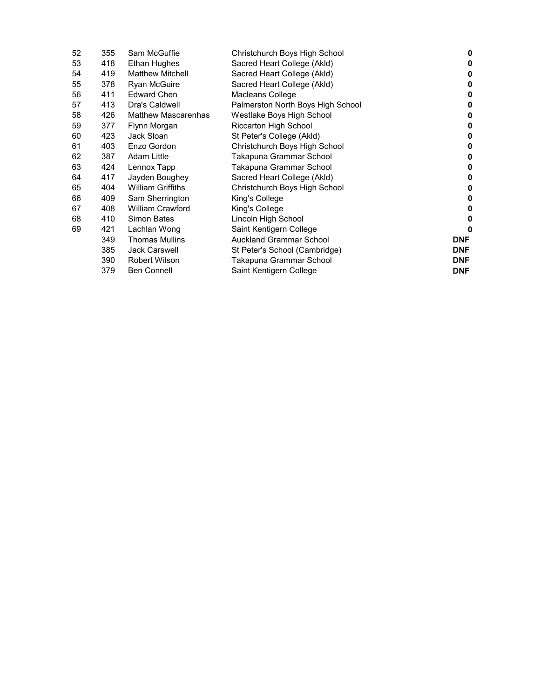| 52 | 355 | Sam McGuffie               | Christchurch Boys High School     | 0          |
|----|-----|----------------------------|-----------------------------------|------------|
| 53 | 418 | <b>Ethan Hughes</b>        | Sacred Heart College (Akld)       | 0          |
| 54 | 419 | <b>Matthew Mitchell</b>    | Sacred Heart College (Akld)       | 0          |
| 55 | 378 | Ryan McGuire               | Sacred Heart College (Akld)       | 0          |
| 56 | 411 | <b>Edward Chen</b>         | Macleans College                  | 0          |
| 57 | 413 | Dra's Caldwell             | Palmerston North Boys High School | 0          |
| 58 | 426 | <b>Matthew Mascarenhas</b> | Westlake Boys High School         | 0          |
| 59 | 377 | Flynn Morgan               | Riccarton High School             | 0          |
| 60 | 423 | Jack Sloan                 | St Peter's College (Akld)         | 0          |
| 61 | 403 | Enzo Gordon                | Christchurch Boys High School     | 0          |
| 62 | 387 | <b>Adam Little</b>         | Takapuna Grammar School           | 0          |
| 63 | 424 | Lennox Tapp                | Takapuna Grammar School           | 0          |
| 64 | 417 | Jayden Boughey             | Sacred Heart College (Akld)       | 0          |
| 65 | 404 | <b>William Griffiths</b>   | Christchurch Boys High School     | 0          |
| 66 | 409 | Sam Sherrington            | King's College                    | 0          |
| 67 | 408 | <b>William Crawford</b>    | King's College                    | 0          |
| 68 | 410 | <b>Simon Bates</b>         | Lincoln High School               | 0          |
| 69 | 421 | Lachlan Wong               | Saint Kentigern College           | 0          |
|    | 349 | <b>Thomas Mullins</b>      | <b>Auckland Grammar School</b>    | <b>DNF</b> |
|    | 385 | <b>Jack Carswell</b>       | St Peter's School (Cambridge)     | <b>DNF</b> |
|    | 390 | Robert Wilson              | Takapuna Grammar School           | <b>DNF</b> |
|    | 379 | <b>Ben Connell</b>         | Saint Kentigern College           | <b>DNF</b> |
|    |     |                            |                                   |            |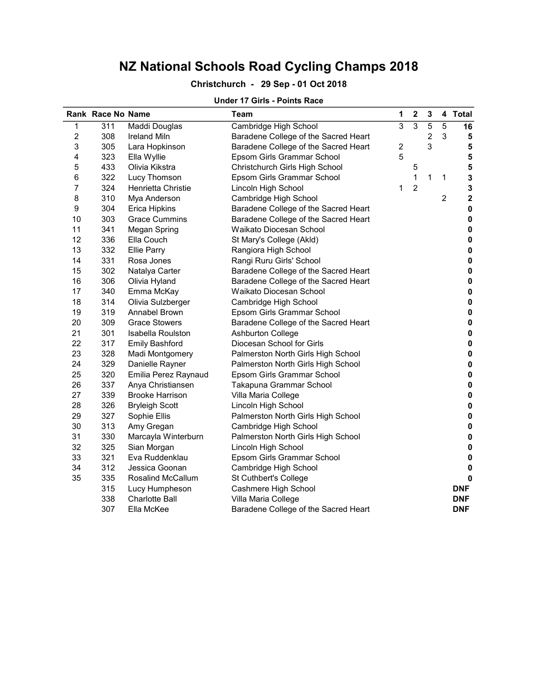## Christchurch - 29 Sep - 01 Oct 2018

| Under 17 Girls - Points Race |  |  |  |
|------------------------------|--|--|--|
|------------------------------|--|--|--|

|                  | Rank Race No Name |                          | <b>Team</b>                          | 1                       | $\mathbf 2$    | 3              |                | 4 Total     |
|------------------|-------------------|--------------------------|--------------------------------------|-------------------------|----------------|----------------|----------------|-------------|
| 1                | 311               | Maddi Douglas            | Cambridge High School                | 3                       | 3              | 5              | 5              | 16          |
| $\boldsymbol{2}$ | 308               | <b>Ireland Miln</b>      | Baradene College of the Sacred Heart |                         |                | $\overline{c}$ | 3              | ${\bf 5}$   |
| 3                | 305               | Lara Hopkinson           | Baradene College of the Sacred Heart | $\overline{\mathbf{c}}$ |                | 3              |                | ${\bf 5}$   |
| 4                | 323               | Ella Wyllie              | Epsom Girls Grammar School           | 5                       |                |                |                | ${\bf 5}$   |
| 5                | 433               | Olivia Kikstra           | Christchurch Girls High School       |                         | 5              |                |                | 5           |
| 6                | 322               | Lucy Thomson             | Epsom Girls Grammar School           |                         | 1              | 1              | 1              | $\mathbf 3$ |
| 7                | 324               | Henrietta Christie       | Lincoln High School                  | 1                       | $\overline{c}$ |                |                | $\mathbf 3$ |
| 8                | 310               | Mya Anderson             | Cambridge High School                |                         |                |                | $\overline{2}$ | $\mathbf 2$ |
| 9                | 304               | <b>Erica Hipkins</b>     | Baradene College of the Sacred Heart |                         |                |                |                | $\pmb{0}$   |
| 10               | 303               | <b>Grace Cummins</b>     | Baradene College of the Sacred Heart |                         |                |                |                | $\pmb{0}$   |
| 11               | 341               | <b>Megan Spring</b>      | Waikato Diocesan School              |                         |                |                |                | 0           |
| 12               | 336               | Ella Couch               | St Mary's College (Akld)             |                         |                |                |                | $\pmb{0}$   |
| 13               | 332               | <b>Ellie Parry</b>       | Rangiora High School                 |                         |                |                |                | $\pmb{0}$   |
| 14               | 331               | Rosa Jones               | Rangi Ruru Girls' School             |                         |                |                |                | $\pmb{0}$   |
| 15               | 302               | Natalya Carter           | Baradene College of the Sacred Heart |                         |                |                |                | $\pmb{0}$   |
| 16               | 306               | Olivia Hyland            | Baradene College of the Sacred Heart |                         |                |                |                | $\pmb{0}$   |
| 17               | 340               | Emma McKay               | Waikato Diocesan School              |                         |                |                |                | $\pmb{0}$   |
| 18               | 314               | Olivia Sulzberger        | Cambridge High School                |                         |                |                |                | $\pmb{0}$   |
| 19               | 319               | <b>Annabel Brown</b>     | Epsom Girls Grammar School           |                         |                |                |                | $\pmb{0}$   |
| 20               | 309               | <b>Grace Stowers</b>     | Baradene College of the Sacred Heart |                         |                |                |                | 0           |
| 21               | 301               | Isabella Roulston        | <b>Ashburton College</b>             |                         |                |                |                | $\pmb{0}$   |
| 22               | 317               | <b>Emily Bashford</b>    | Diocesan School for Girls            |                         |                |                |                | 0           |
| 23               | 328               | Madi Montgomery          | Palmerston North Girls High School   |                         |                |                |                | 0           |
| 24               | 329               | Danielle Rayner          | Palmerston North Girls High School   |                         |                |                |                | $\pmb{0}$   |
| 25               | 320               | Emilia Perez Raynaud     | Epsom Girls Grammar School           |                         |                |                |                | $\pmb{0}$   |
| 26               | 337               | Anya Christiansen        | Takapuna Grammar School              |                         |                |                |                | $\pmb{0}$   |
| 27               | 339               | <b>Brooke Harrison</b>   | Villa Maria College                  |                         |                |                |                | $\pmb{0}$   |
| 28               | 326               | <b>Bryleigh Scott</b>    | Lincoln High School                  |                         |                |                |                | $\pmb{0}$   |
| 29               | 327               | Sophie Ellis             | Palmerston North Girls High School   |                         |                |                |                | $\pmb{0}$   |
| 30               | 313               | Amy Gregan               | Cambridge High School                |                         |                |                |                | $\pmb{0}$   |
| 31               | 330               | Marcayla Winterburn      | Palmerston North Girls High School   |                         |                |                |                | $\pmb{0}$   |
| 32               | 325               | Sian Morgan              | Lincoln High School                  |                         |                |                |                | $\pmb{0}$   |
| 33               | 321               | Eva Ruddenklau           | Epsom Girls Grammar School           |                         |                |                |                | $\pmb{0}$   |
| 34               | 312               | Jessica Goonan           | Cambridge High School                |                         |                |                |                | 0           |
| 35               | 335               | <b>Rosalind McCallum</b> | St Cuthbert's College                |                         |                |                |                | $\mathbf 0$ |
|                  | 315               | Lucy Humpheson           | Cashmere High School                 |                         |                |                |                | <b>DNF</b>  |
|                  | 338               | <b>Charlotte Ball</b>    | Villa Maria College                  |                         |                |                |                | <b>DNF</b>  |
|                  | 307               | Ella McKee               | Baradene College of the Sacred Heart |                         |                |                |                | <b>DNF</b>  |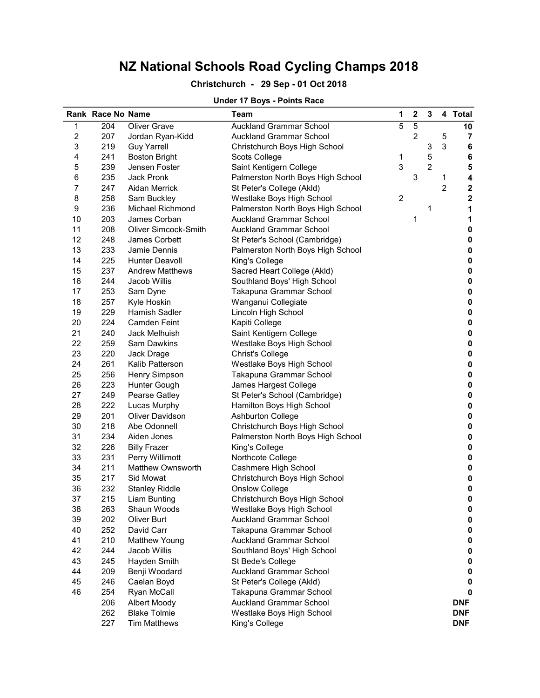### Christchurch - 29 Sep - 01 Oct 2018

### Under 17 Boys - Points Race

|                  | Rank Race No Name |                             | <b>Team</b>                       | 1 | $\mathbf 2$ | 3              |                | 4 Total     |
|------------------|-------------------|-----------------------------|-----------------------------------|---|-------------|----------------|----------------|-------------|
| 1                | 204               | <b>Oliver Grave</b>         | <b>Auckland Grammar School</b>    | 5 | $\sqrt{5}$  |                |                | 10          |
| 2                | 207               | Jordan Ryan-Kidd            | <b>Auckland Grammar School</b>    |   | 2           |                | 5              | 7           |
| 3                | 219               | <b>Guy Yarrell</b>          | Christchurch Boys High School     |   |             | 3              | 3              | 6           |
| 4                | 241               | <b>Boston Bright</b>        | Scots College                     | 1 |             | 5              |                | 6           |
| 5                | 239               | Jensen Foster               | Saint Kentigern College           | 3 |             | $\overline{2}$ |                | 5           |
| 6                | 235               | Jack Pronk                  | Palmerston North Boys High School |   | 3           |                | 1              | 4           |
| $\overline{7}$   | 247               | Aidan Merrick               | St Peter's College (Akld)         |   |             |                | $\overline{2}$ | $\mathbf 2$ |
| 8                | 258               | Sam Buckley                 | Westlake Boys High School         | 2 |             |                |                | $\mathbf 2$ |
| $\boldsymbol{9}$ | 236               | Michael Richmond            | Palmerston North Boys High School |   |             | 1              |                | 1           |
| 10               | 203               | James Corban                | <b>Auckland Grammar School</b>    |   | 1           |                |                | 1           |
| 11               | 208               | <b>Oliver Simcock-Smith</b> | <b>Auckland Grammar School</b>    |   |             |                |                | 0           |
| 12               | 248               | James Corbett               | St Peter's School (Cambridge)     |   |             |                |                | 0           |
| 13               | 233               | Jamie Dennis                | Palmerston North Boys High School |   |             |                |                | 0           |
| 14               | 225               | <b>Hunter Deavoll</b>       | King's College                    |   |             |                |                | 0           |
| 15               | 237               | <b>Andrew Matthews</b>      | Sacred Heart College (Akld)       |   |             |                |                | 0           |
| 16               | 244               | Jacob Willis                | Southland Boys' High School       |   |             |                |                | 0           |
| 17               | 253               | Sam Dyne                    | Takapuna Grammar School           |   |             |                |                | 0           |
| 18               | 257               | Kyle Hoskin                 | Wanganui Collegiate               |   |             |                |                | 0           |
| 19               | 229               | Hamish Sadler               | Lincoln High School               |   |             |                |                | 0           |
| 20               | 224               | <b>Camden Feint</b>         | Kapiti College                    |   |             |                |                | $\pmb{0}$   |
| 21               | 240               | Jack Melhuish               | Saint Kentigern College           |   |             |                |                | 0           |
| 22               | 259               | Sam Dawkins                 | Westlake Boys High School         |   |             |                |                | $\pmb{0}$   |
| 23               | 220               | Jack Drage                  | <b>Christ's College</b>           |   |             |                |                | $\pmb{0}$   |
| 24               | 261               | Kalib Patterson             | Westlake Boys High School         |   |             |                |                | 0           |
| 25               | 256               | <b>Henry Simpson</b>        | Takapuna Grammar School           |   |             |                |                | 0           |
| 26               | 223               | Hunter Gough                | James Hargest College             |   |             |                |                | 0           |
| 27               | 249               | Pearse Gatley               | St Peter's School (Cambridge)     |   |             |                |                | 0           |
| 28               | 222               | Lucas Murphy                | Hamilton Boys High School         |   |             |                |                | $\pmb{0}$   |
| 29               | 201               | <b>Oliver Davidson</b>      | <b>Ashburton College</b>          |   |             |                |                | $\pmb{0}$   |
| 30               | 218               | Abe Odonnell                | Christchurch Boys High School     |   |             |                |                | $\pmb{0}$   |
| 31               | 234               | Aiden Jones                 | Palmerston North Boys High School |   |             |                |                | $\pmb{0}$   |
| 32               | 226               | <b>Billy Frazer</b>         | King's College                    |   |             |                |                | $\pmb{0}$   |
| 33               | 231               | Perry Willimott             | Northcote College                 |   |             |                |                | $\pmb{0}$   |
| 34               | 211               | Matthew Ownsworth           | Cashmere High School              |   |             |                |                | $\pmb{0}$   |
| 35               | 217               | Sid Mowat                   | Christchurch Boys High School     |   |             |                |                | $\pmb{0}$   |
| 36               | 232               | <b>Stanley Riddle</b>       | <b>Onslow College</b>             |   |             |                |                | $\pmb{0}$   |
| 37               | 215               | Liam Bunting                | Christchurch Boys High School     |   |             |                |                | 0           |
| 38               | 263               | Shaun Woods                 | Westlake Boys High School         |   |             |                |                | 0           |
| 39               | 202               | Oliver Burt                 | <b>Auckland Grammar School</b>    |   |             |                |                | 0           |
| 40               | 252               | David Carr                  | Takapuna Grammar School           |   |             |                |                | 0           |
| 41               | 210               | Matthew Young               | <b>Auckland Grammar School</b>    |   |             |                |                | 0           |
| 42               | 244               | Jacob Willis                | Southland Boys' High School       |   |             |                |                | 0           |
| 43               | 245               | Hayden Smith                | St Bede's College                 |   |             |                |                | 0           |
| 44               | 209               | Benji Woodard               | <b>Auckland Grammar School</b>    |   |             |                |                | 0           |
| 45               | 246               | Caelan Boyd                 | St Peter's College (Akld)         |   |             |                |                | 0           |
| 46               | 254               | Ryan McCall                 | Takapuna Grammar School           |   |             |                |                | $\mathbf 0$ |
|                  | 206               | Albert Moody                | <b>Auckland Grammar School</b>    |   |             |                |                | <b>DNF</b>  |
|                  | 262               | <b>Blake Tolmie</b>         | Westlake Boys High School         |   |             |                |                | <b>DNF</b>  |
|                  | 227               | <b>Tim Matthews</b>         | King's College                    |   |             |                |                | <b>DNF</b>  |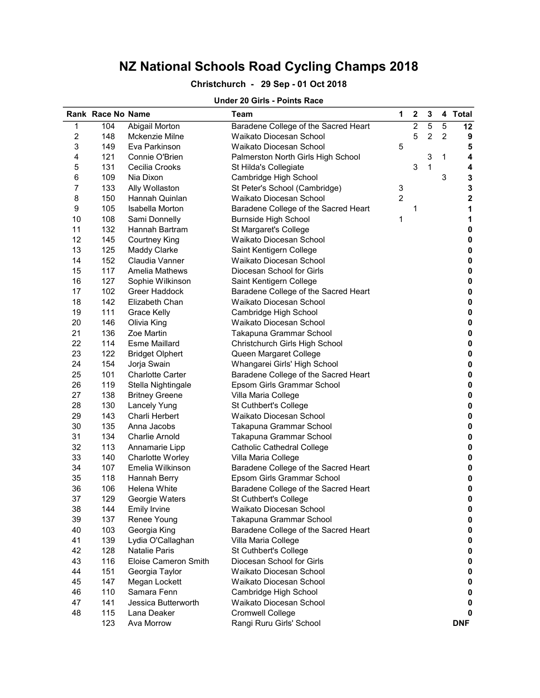### Christchurch - 29 Sep - 01 Oct 2018

#### Under 20 Girls - Points Race

|                | Rank Race No Name |                             | <b>Team</b>                          | 1              | 2              | 3              |                | 4 Total     |
|----------------|-------------------|-----------------------------|--------------------------------------|----------------|----------------|----------------|----------------|-------------|
| 1              | 104               | Abigail Morton              | Baradene College of the Sacred Heart |                | $\overline{c}$ | 5              | 5              | 12          |
| $\overline{c}$ | 148               | Mckenzie Milne              | Waikato Diocesan School              |                | 5              | $\overline{c}$ | $\overline{2}$ | 9           |
| 3              | 149               | Eva Parkinson               | Waikato Diocesan School              | 5              |                |                |                | 5           |
| 4              | 121               | Connie O'Brien              | Palmerston North Girls High School   |                |                | 3              | 1              | 4           |
| 5              | 131               | Cecilia Crooks              | St Hilda's Collegiate                |                | 3              | 1              |                | 4           |
| 6              | 109               | Nia Dixon                   | Cambridge High School                |                |                |                | 3              | $\mathbf 3$ |
| 7              | 133               | Ally Wollaston              | St Peter's School (Cambridge)        | 3              |                |                |                | $\mathbf 3$ |
| 8              | 150               | Hannah Quinlan              | Waikato Diocesan School              | $\overline{2}$ |                |                |                | $\bf 2$     |
| 9              | 105               | <b>Isabella Morton</b>      | Baradene College of the Sacred Heart |                | 1              |                |                | 1           |
| 10             | 108               | Sami Donnelly               | <b>Burnside High School</b>          | 1              |                |                |                | 1           |
| 11             | 132               | Hannah Bartram              | St Margaret's College                |                |                |                |                | 0           |
| 12             | 145               | <b>Courtney King</b>        | Waikato Diocesan School              |                |                |                |                | 0           |
| 13             | 125               | <b>Maddy Clarke</b>         | Saint Kentigern College              |                |                |                |                | 0           |
| 14             | 152               | Claudia Vanner              | Waikato Diocesan School              |                |                |                |                | $\pmb{0}$   |
| 15             | 117               | <b>Amelia Mathews</b>       | Diocesan School for Girls            |                |                |                |                | $\pmb{0}$   |
| 16             | 127               | Sophie Wilkinson            | Saint Kentigern College              |                |                |                |                | $\pmb{0}$   |
| 17             | 102               | Greer Haddock               | Baradene College of the Sacred Heart |                |                |                |                | 0           |
| 18             | 142               | Elizabeth Chan              | Waikato Diocesan School              |                |                |                |                | 0           |
| 19             | 111               | Grace Kelly                 | Cambridge High School                |                |                |                |                | $\pmb{0}$   |
| 20             | 146               | Olivia King                 | Waikato Diocesan School              |                |                |                |                | $\pmb{0}$   |
| 21             | 136               | Zoe Martin                  | Takapuna Grammar School              |                |                |                |                | $\pmb{0}$   |
| 22             | 114               | <b>Esme Maillard</b>        | Christchurch Girls High School       |                |                |                |                | 0           |
| 23             | 122               | <b>Bridget Olphert</b>      | Queen Margaret College               |                |                |                |                | 0           |
| 24             | 154               | Jorja Swain                 | Whangarei Girls' High School         |                |                |                |                | 0           |
| 25             | 101               | <b>Charlotte Carter</b>     | Baradene College of the Sacred Heart |                |                |                |                | 0           |
| 26             | 119               | Stella Nightingale          | Epsom Girls Grammar School           |                |                |                |                | 0           |
| 27             | 138               | <b>Britney Greene</b>       | Villa Maria College                  |                |                |                |                | $\pmb{0}$   |
| 28             | 130               | <b>Lancely Yung</b>         | St Cuthbert's College                |                |                |                |                | 0           |
| 29             | 143               | <b>Charli Herbert</b>       | Waikato Diocesan School              |                |                |                |                | 0           |
| 30             | 135               | Anna Jacobs                 | Takapuna Grammar School              |                |                |                |                | 0           |
| 31             | 134               | <b>Charlie Arnold</b>       | Takapuna Grammar School              |                |                |                |                | 0           |
| 32             | 113               | Annamarie Lipp              | Catholic Cathedral College           |                |                |                |                | 0           |
| 33             | 140               | Charlotte Worley            | Villa Maria College                  |                |                |                |                | $\pmb{0}$   |
| 34             | 107               | Emelia Wilkinson            | Baradene College of the Sacred Heart |                |                |                |                | $\pmb{0}$   |
| 35             | 118               | Hannah Berry                | Epsom Girls Grammar School           |                |                |                |                | 0           |
| 36             | 106               | Helena White                | Baradene College of the Sacred Heart |                |                |                |                | 0           |
| 37             | 129               | Georgie Waters              | St Cuthbert's College                |                |                |                |                | 0           |
| 38             | 144               | <b>Emily Irvine</b>         | Waikato Diocesan School              |                |                |                |                | 0           |
| 39             | 137               | Renee Young                 | Takapuna Grammar School              |                |                |                |                | 0           |
| 40             | 103               | Georgia King                | Baradene College of the Sacred Heart |                |                |                |                | 0           |
| 41             | 139               | Lydia O'Callaghan           | Villa Maria College                  |                |                |                |                | 0           |
| 42             | 128               | <b>Natalie Paris</b>        | St Cuthbert's College                |                |                |                |                | 0           |
| 43             | 116               | <b>Eloise Cameron Smith</b> | Diocesan School for Girls            |                |                |                |                | 0           |
| 44             | 151               | Georgia Taylor              | Waikato Diocesan School              |                |                |                |                | 0           |
| 45             | 147               | Megan Lockett               | Waikato Diocesan School              |                |                |                |                | 0           |
| 46             | 110               | Samara Fenn                 | Cambridge High School                |                |                |                |                | 0           |
| 47             | 141               | Jessica Butterworth         | Waikato Diocesan School              |                |                |                |                | 0           |
| 48             | 115               | Lana Deaker                 | <b>Cromwell College</b>              |                |                |                |                | 0           |
|                | 123               | Ava Morrow                  | Rangi Ruru Girls' School             |                |                |                |                | <b>DNF</b>  |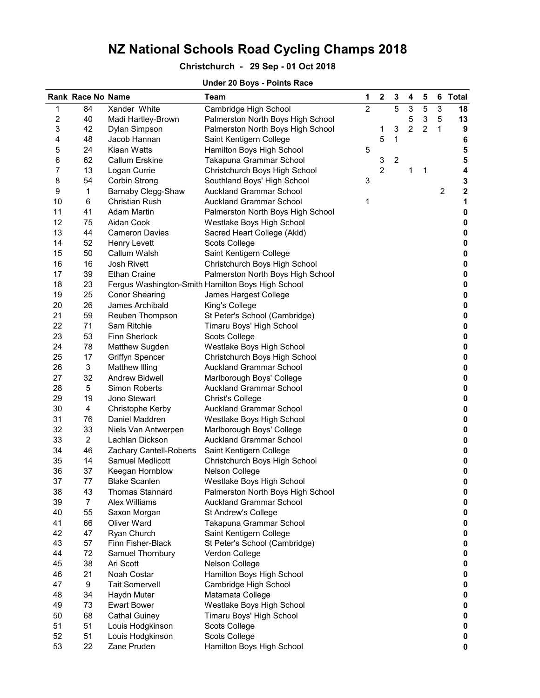## Christchurch - 29 Sep - 01 Oct 2018

### Under 20 Boys - Points Race

|                  | Rank Race No Name |                         | <b>Team</b>                                       | 1              | $\boldsymbol{2}$ | 3                | 4              | 5              | 6              | <b>Total</b> |
|------------------|-------------------|-------------------------|---------------------------------------------------|----------------|------------------|------------------|----------------|----------------|----------------|--------------|
| 1                | 84                | Xander White            | Cambridge High School                             | $\overline{2}$ |                  | 5                | 3              | 5              | $\overline{3}$ | 18           |
| $\boldsymbol{2}$ | 40                | Madi Hartley-Brown      | Palmerston North Boys High School                 |                |                  |                  | 5              | 3              | 5              | 13           |
| 3                | 42                | Dylan Simpson           | Palmerston North Boys High School                 |                | 1                | 3                | $\overline{2}$ | $\overline{c}$ | 1              | 9            |
| 4                | 48                | Jacob Hannan            | Saint Kentigern College                           |                | 5                | 1                |                |                |                | 6            |
| 5                | 24                | Kiaan Watts             | Hamilton Boys High School                         | 5              |                  |                  |                |                |                | 5            |
| 6                | 62                | <b>Callum Erskine</b>   | Takapuna Grammar School                           |                | 3                | $\boldsymbol{2}$ |                |                |                | 5            |
| 7                | 13                | Logan Currie            | Christchurch Boys High School                     |                | $\overline{c}$   |                  | 1              | 1              |                | 4            |
| 8                | 54                | Corbin Strong           | Southland Boys' High School                       | 3              |                  |                  |                |                |                | 3            |
| 9                | 1                 | Barnaby Clegg-Shaw      | <b>Auckland Grammar School</b>                    |                |                  |                  |                |                | $\overline{c}$ | 2            |
| 10               | 6                 | Christian Rush          | <b>Auckland Grammar School</b>                    | 1              |                  |                  |                |                |                | 1            |
| 11               | 41                | Adam Martin             | Palmerston North Boys High School                 |                |                  |                  |                |                |                | $\pmb{0}$    |
| 12               | 75                | Aidan Cook              | Westlake Boys High School                         |                |                  |                  |                |                |                | 0            |
| 13               | 44                | <b>Cameron Davies</b>   | Sacred Heart College (Akld)                       |                |                  |                  |                |                |                | $\pmb{0}$    |
| 14               | 52                | Henry Levett            | Scots College                                     |                |                  |                  |                |                |                | $\pmb{0}$    |
| 15               | 50                | Callum Walsh            | Saint Kentigern College                           |                |                  |                  |                |                |                | $\pmb{0}$    |
| 16               | 16                | Josh Rivett             | Christchurch Boys High School                     |                |                  |                  |                |                |                | $\pmb{0}$    |
| 17               | 39                | <b>Ethan Craine</b>     | Palmerston North Boys High School                 |                |                  |                  |                |                |                | $\pmb{0}$    |
| 18               | 23                |                         | Fergus Washington-Smith Hamilton Boys High School |                |                  |                  |                |                |                | $\pmb{0}$    |
| 19               | 25                | <b>Conor Shearing</b>   | James Hargest College                             |                |                  |                  |                |                |                | $\pmb{0}$    |
| 20               | 26                | James Archibald         | King's College                                    |                |                  |                  |                |                |                | $\pmb{0}$    |
| 21               | 59                | Reuben Thompson         | St Peter's School (Cambridge)                     |                |                  |                  |                |                |                | $\pmb{0}$    |
| 22               | 71                | Sam Ritchie             | Timaru Boys' High School                          |                |                  |                  |                |                |                | $\pmb{0}$    |
| 23               | 53                | Finn Sherlock           | Scots College                                     |                |                  |                  |                |                |                | $\pmb{0}$    |
| 24               | 78                | Matthew Sugden          | Westlake Boys High School                         |                |                  |                  |                |                |                | $\pmb{0}$    |
| 25               | 17                | <b>Griffyn Spencer</b>  | Christchurch Boys High School                     |                |                  |                  |                |                |                | $\pmb{0}$    |
| 26               | 3                 | Matthew Illing          | <b>Auckland Grammar School</b>                    |                |                  |                  |                |                |                | $\pmb{0}$    |
| 27               | 32                | Andrew Bidwell          | Marlborough Boys' College                         |                |                  |                  |                |                |                | 0            |
| 28               | $\,$ 5 $\,$       | <b>Simon Roberts</b>    | Auckland Grammar School                           |                |                  |                  |                |                |                | 0            |
| 29               | 19                | Jono Stewart            | Christ's College                                  |                |                  |                  |                |                |                | $\pmb{0}$    |
| 30               | 4                 | Christophe Kerby        | Auckland Grammar School                           |                |                  |                  |                |                |                | 0            |
| 31               | 76                | Daniel Maddren          | Westlake Boys High School                         |                |                  |                  |                |                |                | 0            |
| 32               | 33                | Niels Van Antwerpen     | Marlborough Boys' College                         |                |                  |                  |                |                |                | $\pmb{0}$    |
| 33               | $\overline{2}$    | Lachlan Dickson         | <b>Auckland Grammar School</b>                    |                |                  |                  |                |                |                | $\pmb{0}$    |
| 34               | 46                | Zachary Cantell-Roberts | Saint Kentigern College                           |                |                  |                  |                |                |                | $\pmb{0}$    |
| 35               | 14                | Samuel Medlicott        | Christchurch Boys High School                     |                |                  |                  |                |                |                | $\pmb{0}$    |
| 36               | 37                | Keegan Hornblow         | Nelson College                                    |                |                  |                  |                |                |                | $\bf{0}$     |
| 37               | 77                | <b>Blake Scanlen</b>    | Westlake Boys High School                         |                |                  |                  |                |                |                | 0            |
| 38               | 43                | <b>Thomas Stannard</b>  | Palmerston North Boys High School                 |                |                  |                  |                |                |                | 0            |
| 39               | $\overline{7}$    | <b>Alex Williams</b>    | <b>Auckland Grammar School</b>                    |                |                  |                  |                |                |                | 0            |
| 40               | 55                | Saxon Morgan            | St Andrew's College                               |                |                  |                  |                |                |                | 0            |
| 41               | 66                | <b>Oliver Ward</b>      | Takapuna Grammar School                           |                |                  |                  |                |                |                | 0            |
| 42               | 47                | Ryan Church             | Saint Kentigern College                           |                |                  |                  |                |                |                | 0            |
| 43               | 57                | Finn Fisher-Black       | St Peter's School (Cambridge)                     |                |                  |                  |                |                |                | 0            |
| 44               | 72                | Samuel Thornbury        | Verdon College                                    |                |                  |                  |                |                |                | 0            |
| 45               | 38                | Ari Scott               | Nelson College                                    |                |                  |                  |                |                |                | 0            |
| 46               | 21                | Noah Costar             | Hamilton Boys High School                         |                |                  |                  |                |                |                | 0            |
| 47               | 9                 | <b>Tait Somervell</b>   | Cambridge High School                             |                |                  |                  |                |                |                | 0            |
| 48               | 34                | Haydn Muter             | Matamata College                                  |                |                  |                  |                |                |                | 0            |
| 49               | 73                | <b>Ewart Bower</b>      | Westlake Boys High School                         |                |                  |                  |                |                |                | 0            |
| 50               | 68                | <b>Cathal Guiney</b>    | Timaru Boys' High School                          |                |                  |                  |                |                |                | 0            |
| 51               | 51                | Louis Hodgkinson        | Scots College                                     |                |                  |                  |                |                |                | 0            |
| 52               | 51                | Louis Hodgkinson        | Scots College                                     |                |                  |                  |                |                |                | 0            |
| 53               | 22                | Zane Pruden             | Hamilton Boys High School                         |                |                  |                  |                |                |                | 0            |
|                  |                   |                         |                                                   |                |                  |                  |                |                |                |              |